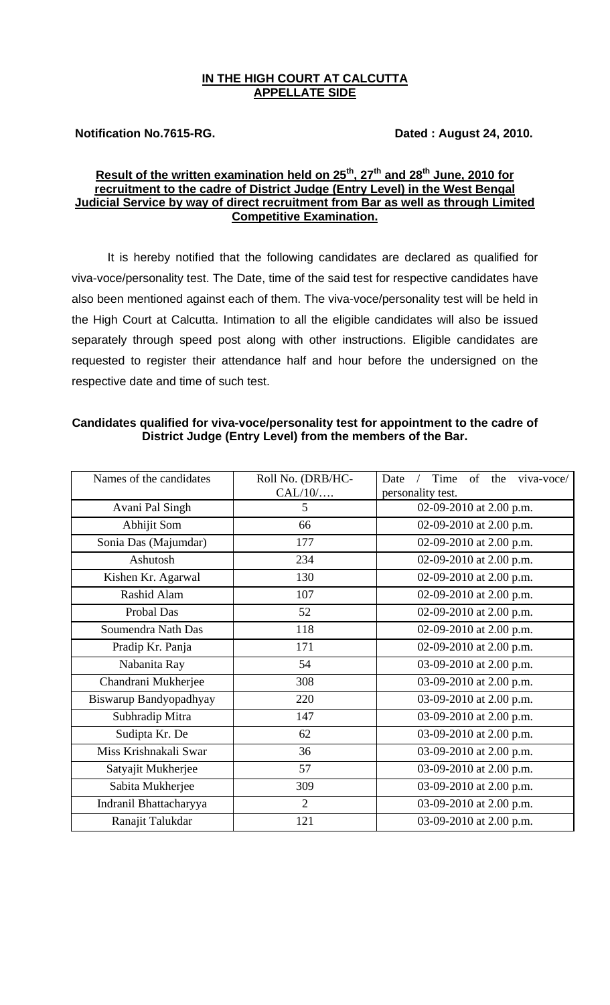### **IN THE HIGH COURT AT CALCUTTA APPELLATE SIDE**

#### **Notification No.7615-RG.** Notification No.7615-RG.

# Result of the written examination held on 25<sup>th</sup>, 27<sup>th</sup> and 28<sup>th</sup> June, 2010 for **recruitment to the cadre of District Judge (Entry Level) in the West Bengal Judicial Service by way of direct recruitment from Bar as well as through Limited Competitive Examination.**

 It is hereby notified that the following candidates are declared as qualified for viva-voce/personality test. The Date, time of the said test for respective candidates have also been mentioned against each of them. The viva-voce/personality test will be held in the High Court at Calcutta. Intimation to all the eligible candidates will also be issued separately through speed post along with other instructions. Eligible candidates are requested to register their attendance half and hour before the undersigned on the respective date and time of such test.

## **Candidates qualified for viva-voce/personality test for appointment to the cadre of District Judge (Entry Level) from the members of the Bar.**

| Names of the candidates | Roll No. (DRB/HC- | of<br>Time<br>the<br>viva-voce/<br>Date |
|-------------------------|-------------------|-----------------------------------------|
|                         | $CAL/10/$         | personality test.                       |
| Avani Pal Singh         | 5                 | 02-09-2010 at 2.00 p.m.                 |
| Abhijit Som             | 66                | 02-09-2010 at 2.00 p.m.                 |
| Sonia Das (Majumdar)    | 177               | 02-09-2010 at 2.00 p.m.                 |
| Ashutosh                | 234               | 02-09-2010 at 2.00 p.m.                 |
| Kishen Kr. Agarwal      | 130               | 02-09-2010 at 2.00 p.m.                 |
| Rashid Alam             | 107               | 02-09-2010 at 2.00 p.m.                 |
| Probal Das              | 52                | 02-09-2010 at 2.00 p.m.                 |
| Soumendra Nath Das      | 118               | 02-09-2010 at 2.00 p.m.                 |
| Pradip Kr. Panja        | 171               | 02-09-2010 at 2.00 p.m.                 |
| Nabanita Ray            | 54                | 03-09-2010 at 2.00 p.m.                 |
| Chandrani Mukherjee     | 308               | 03-09-2010 at 2.00 p.m.                 |
| Biswarup Bandyopadhyay  | 220               | 03-09-2010 at 2.00 p.m.                 |
| Subhradip Mitra         | 147               | 03-09-2010 at 2.00 p.m.                 |
| Sudipta Kr. De          | 62                | 03-09-2010 at 2.00 p.m.                 |
| Miss Krishnakali Swar   | 36                | 03-09-2010 at 2.00 p.m.                 |
| Satyajit Mukherjee      | 57                | 03-09-2010 at 2.00 p.m.                 |
| Sabita Mukherjee        | 309               | 03-09-2010 at 2.00 p.m.                 |
| Indranil Bhattacharyya  | 2                 | 03-09-2010 at 2.00 p.m.                 |
| Ranajit Talukdar        | 121               | 03-09-2010 at 2.00 p.m.                 |